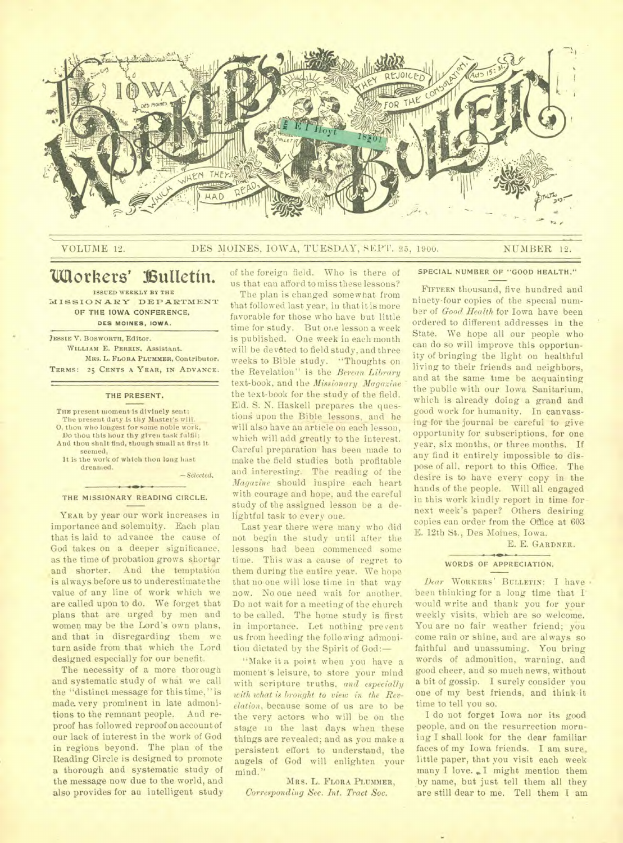

# VOLUME 12. DES MOINES, IOWA, TUESDAY, SEPT. 25, 1900. NUMBER 12.

# **Workers' Vutictin.**

ISSUED WEEKLY BY THE MISSIONARY DEPARTMENT **OF THE IOWA CONFERENCE, DES MOINES. IOWA.** 

1ESSIE V. BOSWORTH, Editor. WILLIAM E. PERRIN. Assistant. MRs. L. FLORA PLUMMER, Contributor. TERMS: 25 CENTS A YEAR, IN ADVANCE.

#### **THE PRESENT.**

THE present moment is divinely sent; The present duty is thy Master's will. 0, thou who longest for some noble work,

- Do thou this hour thy given task fulfil; And thou shalt find, though small at first it seemed,
- It is the work of which thou long hast dreamed.

*— Selected.* 

#### THE MISSIONARY READING CIRCLE.

YEAR by year our work increases in importance and solemnity. Each plan that is laid to advance the cause of God takes on a deeper significance, as the time of probation grows shortar and shorter. And the temptation is always before us to underestimate the value of any line of work which we are called upon to do. We forget that plans that are urged by men and women may be the Lord's own plans, and that in disregarding them we turn aside from that which the Lord designed especially for our benefit.

The necessity of a more thorough and systematic study of what we call the "distinct message for this time," is made. very prominent in late admonitions to the remnant people. And reproof has followed reproof on account of our lack of interest in the work of God in regions beyond. The plan of the Reading Circle is designed to promote a thorough and systematic study of the message now due to the world, and also provides for an intelligent study of the foreign field. Who is there of us that can afford to miss these lessons?

The plan is changed somewhat from that followed last year, in that it is more favorable for those who have but little time for study. But one lesson a week is published. One week in each month will be devoted to field study, and three weeks to Bible study. "Thoughts on the Revelation" is the *Berean Library*  text-book, and *the Missionary Magazine*  the text-book for the study of the field. Eld. S. N. Haskell prepares the questions upon the Bible lessons, and he will also have au article on each lesson, which will add greatly to the interest. Careful preparation has been made to make the field studies both profitable and interesting. The reading of the *Magazine* should inspire each heart with courage and hope, and the careful study of the assigned lesson be a delightful task to every one.

Last year there were many who did not begin the study until after the lessons had been commenced some time. This was a cause of regret to them during the entire year. We hope that no one will lose time in that way now. No one need wait for another. Do not wait for a meeting of the church to be called. The home study is first in importance. Let nothing prevent us from heeding the following admonition dictated by the Spirit of God:—

"Make it a point when you have a moment's leisure, to store your mind with scripture truths, *and especially with what is brought to view in the Revelation,* because some of us are to be the very actors who will be on the stage in the last days when these things are revealed; and as you make a persistent effort to understand, the angels of God will enlighten your mind."

MRS. L. FLORA PLUMMER, *Corresponding Sec. Int. Tract Soc.* 

**SPECIAL NUMBER OF "GOOD HEALTH."** 

FIFTEEN thousand, five hundred and ninety-four copies of the special number of *Good Health* for Iowa have been ordered to different addresses in the State. We hope all our people who can do so will improve this opportunity of bringing the light on healthful living to their friends and neighbors, and at the same time be acquainting the public with our Iowa Sanitarium, which is already doing a grand and good work for humanity. In canvassing for the journal be careful to give opportunity for subscriptions, for one year, six months, or three months. If any find it entirely impossible to dispose of all, report to this Office. The desire is to have every copy in the hands of the people. Will all engaged in this work kindly report in time for next week's paper? Others desiring copies can order from the Office at 603 E. 12th St., Des Moines, Iowa.

E. E. GARDNER.

## **WORDS OF APPRECIATION.**

*Dear* WORKERS' BULLETIN: I have  been thinking for a long time that I would write and thank you for your weekly visits, which are so welcome. You are no fair weather friend; you come rain or shine, and are always so faithful and unassuming. You bring words of admonition, warning, and good cheer, and so much news, without a bit of gossip. I surely consider you one of my best friends, and think it time to tell you so.

I do not forget Iowa nor its good people, and on the resurrection morning I shall look for the dear familiar faces of my Iowa friends. I am sure, little paper, that you visit each week many I love. I might mention them by name, but just tell them all they are still dear to me. Tell them I am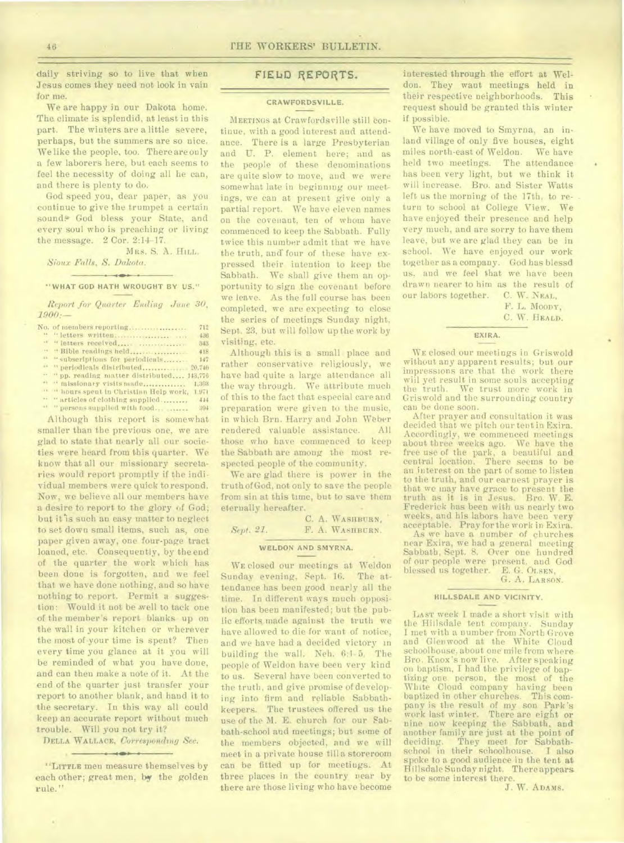daily striving so to live that when Jesus comes they need not look in vain for me.

We are happy in our Dakota home. The climate is splendid, at least in this part. The winters are a little severe, perhaps, but the summers are so nice. We like the people, too. There are only a few laborers here, but each seems to feel the necessity of doing all he can, and there is plenty to do.

God speed you, dear paper, as you continue to give the trumpet a certain sound. God bless your State, and every soul who is preaching or living the message. 2 Cor. 2:14-17.

MRS. S. A. HILL. *Sioux Falls, S. Dakota.* 

#### **WHAT GOD HATH WROUGHT BY US."**

*Report for Quarter Ending June 30, 1900:—* 

|                          | No. of members reporting                  | 712   |
|--------------------------|-------------------------------------------|-------|
| 14                       |                                           | 436   |
| $\alpha$                 |                                           | 343   |
| $\mathcal{M}_\mathrm{c}$ | " Bible readings held                     | 418   |
|                          | " "subscriptions for periodicals          | 147   |
|                          | " "periodicals distributed 20.740         |       |
|                          | " "pp. reading matter distributed 143,776 |       |
|                          | " " missionary visits made                | 1,303 |
|                          | " " hours spent in Christian Help work,   | 1.971 |
|                          | " "articles of clothing supplied          | 444   |
|                          | " persons supplied with food              | 394   |
|                          |                                           |       |

Although this report is somewhat smaller than the previous one, we are glad to state that nearly all our societies were heard from this quarter. We know that all our missionary secretaries would report promptly if the individual members were quick to respond. Now, we believe all our members have a desire to report to the glory of God; but it is such an easy matter to neglect to set down small items, such as, one paper given away, one four-page tract loaned, etc. Consequently, by the end of the quarter the work which has been done is forgotten, and we feel that we have done nothing, and so have nothing to report. Permit a suggestion: Would it not be well to tack one of the member's report blanks up on the wall in your kitchen or wherever the most of your time is spent? Then every time you glance at it you will be reminded of what you have done, and can then make a note of it. At the end of the quarter just transfer your report to another blank, and hand it to the secretary. In this way all could keep an accurate report without much trouble. Will you not try it?

DELLA WALLACE, *Corresponding Sec.*   $\rightarrow$ 

# **FIELD REPORTS.**

# **CRAWFORDSVILLE.**

MEETINGS at Crawfordsville still continue. with a good interest and attendance. There is a large Presbyterian and U. P. element here; and as the people of these denominations are quite slow to move, and we were somewhat late in beginning our meetings, we can at present give only a partial report. We have eleven names on the covenant, ten of whom have commenced to keep the Sabbath. Fully twice this number admit that we have the truth, and four of these have expressed their intention to keep the Sabbath. We shall give them an opportunity to sign the covenant before we leave. As the full course has been completed, we are expecting to close the series of meetings Sunday night, Sept. 23, but will follow up the work by visiting, etc.

Although this is a small place and rather conservative religiously, we have had quite a large attendance all the way through. We attribute much of this to the fact that especial care and preparation were given to the music, in which Brn. Harry and John Weber rendered valuable assistance. All those who have commenced to keep the Sabbath are among the most respected people of the community.

We are glad there is power in the truth of God, not only to save the people from sin at this time, but to save them eternally hereafter.

C. A. WASHBURN, Sept. 21. **F. A. WASHBURN.** 

#### **WELDON AND SMYRNA.**

WE closed our meetings at Weldon Sunday evening, Sept. 16. The attendance has been good nearly all the time. In different ways much opposition has been manifested; but the public efforts, made against the truth we have allowed to die for want of notice, and we have had a decided victory in building the wall. Neh. 6:1-5. The people of Weldon have been very kind to us. Several have been converted to the truth, and give promise of developing into firm and reliable Sabbathkeepers. The trustees offered us the use of the M. E. church for our Sabbath-school and meetings; but some of the members objected, and we will meet in a private house till a storeroom can be fitted up for meetings. At three places in the country near by there are those living who have become interested through the effort at Weldon. They want meetings held in their respective neighborhoods. This request should be granted this winter if possible.

We have moved to Smyrna, an inland village of only five houses, eight miles north-east of Weldon. We have held two meetings. The attendance has been very light, but we think it will increase. Bro. and Sister Watts left us the morning of the 17th, to return to school at College View. We have enjoyed their presence and help very much, and are sorry to have them leave, but we are glad they can be in school. We have enjoyed our work together as a company. God has blessd us. and we feel that we have been drawn nearer to him as the result of our labors together. C. W. NEAL,

F. L. MOODY,

C. W. HEALD.

## **EXIRA.**

WE closed our meetings in Griswold without any apparent results; but our impressions are that the work there will yet result in some souls accepting the truth. We trust more work in Griswold and the surrounding country can be done soon.

After prayer and consultation it was decided that we pitch our tent in Exira. Accordingly, we commenced meetings about three weeks ago. We have the free use of the park, a beautiful and central location. There seems to be an Interest on the part of some to listen to the truth, and our earnest prayer is that we may have grace to present the truth as it is in Jesus. Bro. W. E. Frederick has been with us nearly two weeks, and his labors have been very acceptable. Pray for the work in Exira.

As we have a number of churches near Exira, we had a general meeting Sabbath, Sept. 8. Over one hundred of our people were present. and God blessed us together.

G. A. LARSON.

#### **HILLSDALE AND VICINITY.**

LA ST week I made a short visit with<br>e Hillsdale tent company. Sunday the Hillsdale tent company. I met with a number from North Grove and Glenwood at the White Cloud schoolhouse, about one mile from where Bro. Knox's now live. After speaking on baptism, I had the privilege of baptizing one person, the most of the White Cloud company having been baptized in other churches. This company is the result of my son Park's work last winter. There are eigfit or nine now keeping the Sabbath, and another family are just at the point of deciding. They meet for Sabbathschool in their schoolhouse. I also spoke to a good audience in the tent at Hillsdale Sunday night. There appears to be some interest there.

J. W. ADAMS.

<sup>&</sup>quot;LITTLE men measure themselves by each other; great men, by the golden rule."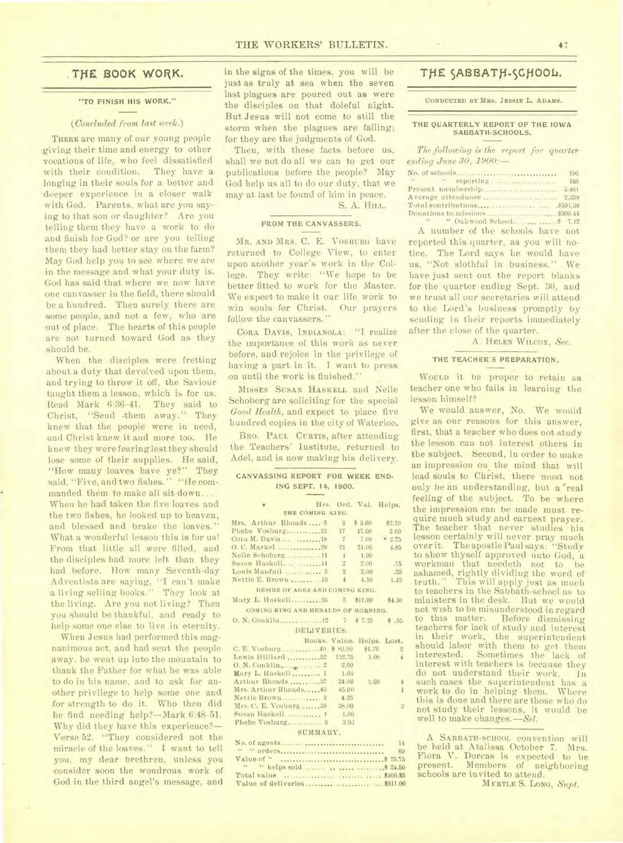# **TfiE BOOK WORK.**

# "TO FINISH HIS WORK."

### *(Concluded from last week.)*

THERE are many of our young people giving their time and energy to other vocations of life, who feel dissatisfied with their condition. They have a longing in their souls for a better and deeper experience in a closer walk with God. Parents, what are you saying to that son or daughter? Are you telling them they have a work to do and finish for God? or are you telling them they had better stay on the farm? May God help you to see where we are in the message and what your duty is. God has said that where we now have one canvasser in the field, there should be a hundred. Then surely there are some people, and not a few, who are out of place. The hearts of this people are not turned toward God as they should be.

When the disciples were fretting about a duty that devolved upon them, and trying to throw it off, the Saviour taught them a lesson, which is for us. Read Mark 6:36-41. They said to Christ, "Send .them away." They knew that the people were in need, and Christ knew it and more too. He knew they were fearing lest they should lose some of their supplies. He said, "How many loaves have ye?" They said, "Five, and two fishes." "He commanded them to make all sit down.... When he had taken the five loaves and the two fishes, he looked up to heaven, and blessed and brake the loaves." What a wonderful lesson this is for us! From that little all were filled, and the disciples had more left than they had before. How many Seventh-day Adventists are saying, "I can't make a living selling books." They look at the living. Are you not living? Then you should be thankful, and ready to help some one else to live in eternity.

When Jesus had performed this magnanimous act, and had sent the people away, he went up into the mountain to thank the Father for what he was able to do in his name, and to ask for another privilege to help some one and for strength to do it. Who then did he find needing help?-Mark 6:48-51. Why did they have this experience?-Verse 52. "They considered not the miracle of the loaves." I want to tell you, my dear brethren, unless you consider soon the wondrous work of. God in the third angel's message, and

in the signs of the times, you will be just as truly at sea when the seven last plagues are poured out as were the disciples on that doleful night. But Jesus will not come to still the storm when the plagues are falling; for they are the judgments of God.

Then, with these facts before us, shall we not do all we can to get our publications before the people? May God help us all to do our duty, that we may at last be found of him in peace.

S. A. HILL.

## FROM THE CANVASSERS.

MR. AND MRS. C. E. VOSBURG have returned to College View, to enter upon another year's work in the College. They write: "We hope to be better fitted to work for the Master. We expect to make it our life work to win souls for Christ. Our prayers follow the canvassers."

CORA DAVIS, INDIANOLA: "I realize the importance of this work as never before, and rejoice in the privilege of having a part in it. I want to press on until the work is finished."

MISSES SUSAN HASKELL and Nelle Schoberg are soliciting for the special *Good Health,* and expect to place five hundred copies in the city of Waterloo.

BRO. PAUL CURTIS, after attending the Teachers' Institute, returned to Adel, and is now making his delivery.

# CANVASSING REPORT FOR WEEK END-ING SEPT. 14, 1900.

|                                     |  |               | Hrs. Ord. Val. Helps. |                            |  |  |  |
|-------------------------------------|--|---------------|-----------------------|----------------------------|--|--|--|
| THE COMING KING.                    |  |               |                       |                            |  |  |  |
| Mrs. Arthur Rhoads 5                |  | 3             | \$ 3.00               | \$2.70                     |  |  |  |
| Phebe Vosburg  22                   |  | 17            | 17.00                 | 2.00                       |  |  |  |
| Cora M. Davis 18                    |  | $\frac{7}{2}$ | 7.00                  | $= 2.75$                   |  |  |  |
| O. C. Markel 29                     |  | 21            | 21.00                 | 4.85                       |  |  |  |
|                                     |  | $\mathbf{I}$  | 1.00                  |                            |  |  |  |
| Susan Haskell  14                   |  | $\sqrt{2}$    | 2.00                  | .75                        |  |  |  |
| Louis Manfull  5                    |  | $\sqrt{2}$    | 2.00                  | ,25                        |  |  |  |
| Nettie E. Brown   16                |  | $\frac{4}{3}$ | 4.50                  | 1.25                       |  |  |  |
| DESIRE OF AGES AND COMING KING.     |  |               |                       |                            |  |  |  |
| Mary L. Haskell26 5 \$11.00 \$4.30  |  |               |                       |                            |  |  |  |
| COMING KING AND HERALDS OF MORNING. |  |               |                       |                            |  |  |  |
|                                     |  |               |                       | # .95                      |  |  |  |
| DELIVERIES.                         |  |               |                       |                            |  |  |  |
|                                     |  |               |                       | Books, Value, Helps, Lost, |  |  |  |
| C. E. Vosburg40                     |  | 第 80.00       | \$1.70                | $\frac{1}{2}$              |  |  |  |
|                                     |  | 192.75        | 1.00                  | $\frac{1}{4}$              |  |  |  |
|                                     |  | 2.00          |                       |                            |  |  |  |
| Mary L. Haskell  1                  |  | 1.00          |                       |                            |  |  |  |
| Arthur Rhoads  37                   |  | 34.00         | 2.00.                 | $\frac{4}{3}$              |  |  |  |
| Mrs. Arthur Rhoads 43               |  | 45.00         |                       | $\mathbf{L}$               |  |  |  |
| Nettle Brown 3                      |  | 4.25          |                       |                            |  |  |  |
| Mrs. C. E. Vosburg 38               |  | 38.00         |                       | $\mathcal{Q}$              |  |  |  |
| Susan Haskell 1                     |  | 1.00          |                       |                            |  |  |  |
| Phebe Vosburg 3                     |  | 3.0J          |                       |                            |  |  |  |
| SUMMARY.                            |  |               |                       |                            |  |  |  |
|                                     |  |               |                       | 14                         |  |  |  |
|                                     |  |               |                       | 69                         |  |  |  |
| Value of $\mu$ $\approx$ 75.75      |  |               |                       |                            |  |  |  |

# Value of " \$ 75.75 " '6 helps sold \$ 24.50 Total value \$100.25 Value of deliveries \$311.00

# THE SABBATH-SCHOOL.

#### **CONDUCTED BY MRS. JESSIE** L. **ADAMS.**

#### THE QUARTERLY REPORT OF THE IOWA SABBATH-SCHOOLS.

*The following is the report for quarter ending June 30, 1900:-*

|                           | 196 |
|---------------------------|-----|
|                           | 160 |
| Present membership 3.461  |     |
| Average attendance  2,359 |     |
|                           |     |
|                           |     |
| 55                        |     |

A number of the schools have not reported this quarter, as you will notice. The Lord says he would have us, "Not slothful in business." We have just sent out the report blanks for the quarter ending Sept. 30, and we trust all our secretaries will attend to the Lord's business promptly by sending in their reports immediately after the close of the quarter.

A. HELEN WILCOX, *Sec.* 

#### THE TEACHER'S PREPARATION.

WOULD it be proper to retain as teacher one who fails in learning the lesson himself?

We would answer, No. We would give as our reasons for this answer, first, that a teacher who does not study the lesson can not interest others in the subject. Second, in order to make an impression on the mind that will lead souls to Christ, there must not only be an understanding, but a real feeling of the subject. To be where the impression can be made must require much study and earnest prayer. The teacher that never studies his lesson certainly will never pray much over it. The apostle Paul says: "Study to show thyself approved unto God, a workman that needeth not to be ashamed, rightly dividing the word of truth." This will apply just as much to teachers in the Sabbath-school as to ministers in the desk. But we would not wish to be misunderstood in regard<br>to this matter. Before dismissing Before dismissing teachers for lack of study and interest in their work, the superintendent should labor with them to get them interested. Sometimes the lack of interest with teachers is because they do not understand their work. In such cases the superintendent has a work to do in helping them. Where this is done and there are those who do not study their lessons, it would be well to make changes. -Sel.

A SABBATH-SCHOOL convention will be held at Atalissa October 7. Mrs. Flora V. Dorcas is expected to be present. Members of neighboring schools are invited to attend.

MYRTLE S. LONG, *Supt.*